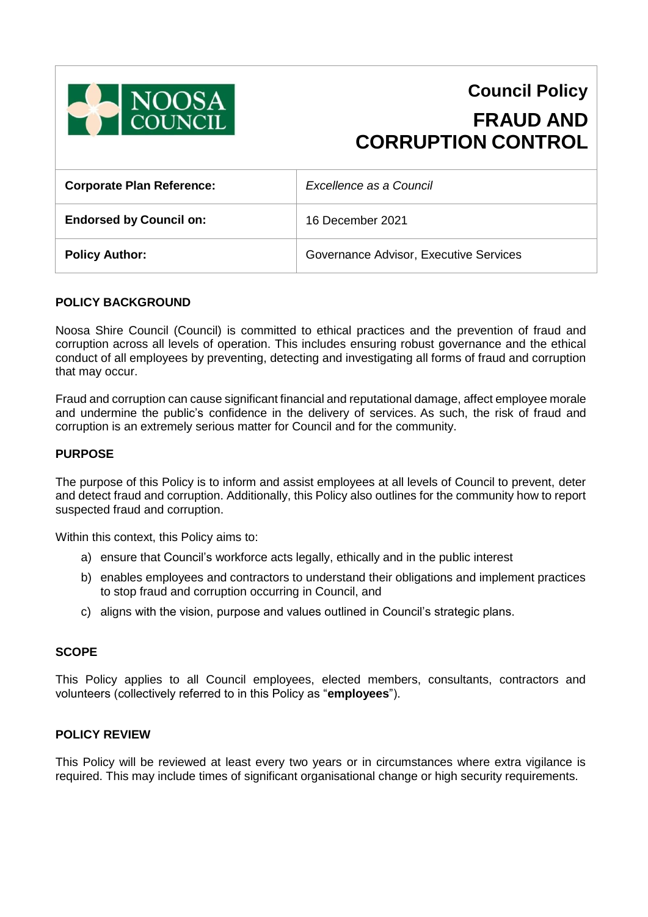

# **Council Policy FRAUD AND CORRUPTION CONTROL**

| <b>Corporate Plan Reference:</b> | Excellence as a Council                |
|----------------------------------|----------------------------------------|
| <b>Endorsed by Council on:</b>   | 16 December 2021                       |
| <b>Policy Author:</b>            | Governance Advisor, Executive Services |

## **POLICY BACKGROUND**

Noosa Shire Council (Council) is committed to ethical practices and the prevention of fraud and corruption across all levels of operation. This includes ensuring robust governance and the ethical conduct of all employees by preventing, detecting and investigating all forms of fraud and corruption that may occur.

Fraud and corruption can cause significant financial and reputational damage, affect employee morale and undermine the public's confidence in the delivery of services. As such, the risk of fraud and corruption is an extremely serious matter for Council and for the community.

## **PURPOSE**

The purpose of this Policy is to inform and assist employees at all levels of Council to prevent, deter and detect fraud and corruption. Additionally, this Policy also outlines for the community how to report suspected fraud and corruption.

Within this context, this Policy aims to:

- a) ensure that Council's workforce acts legally, ethically and in the public interest
- b) enables employees and contractors to understand their obligations and implement practices to stop fraud and corruption occurring in Council, and
- c) aligns with the vision, purpose and values outlined in Council's strategic plans.

### **SCOPE**

This Policy applies to all Council employees, elected members, consultants, contractors and volunteers (collectively referred to in this Policy as "**employees**").

## **POLICY REVIEW**

This Policy will be reviewed at least every two years or in circumstances where extra vigilance is required. This may include times of significant organisational change or high security requirements.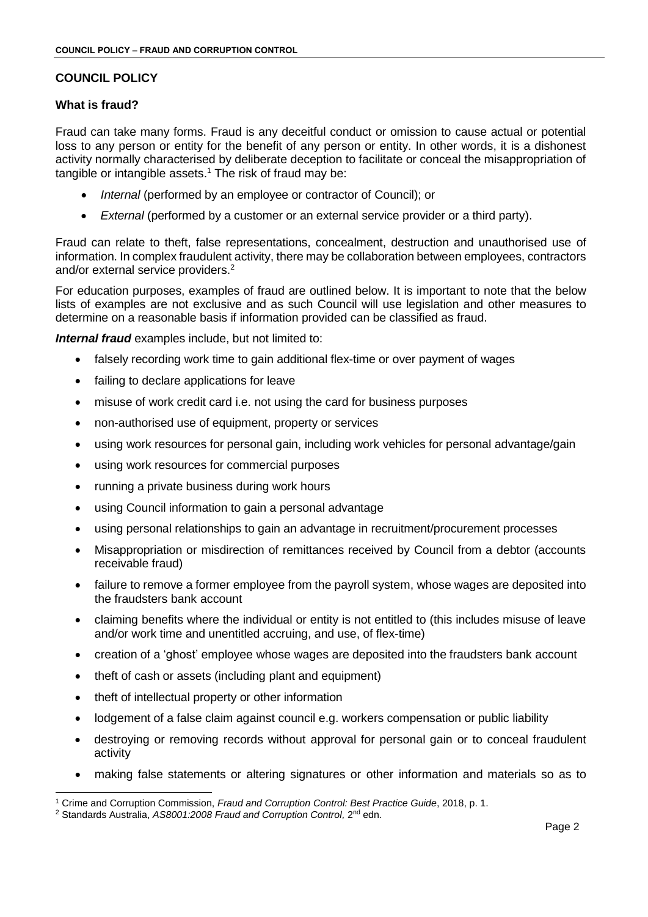# **COUNCIL POLICY**

# **What is fraud?**

Fraud can take many forms. Fraud is any deceitful conduct or omission to cause actual or potential loss to any person or entity for the benefit of any person or entity. In other words, it is a dishonest activity normally characterised by deliberate deception to facilitate or conceal the misappropriation of tangible or intangible assets. <sup>1</sup> The risk of fraud may be:

- *Internal* (performed by an employee or contractor of Council); or
- *External* (performed by a customer or an external service provider or a third party).

Fraud can relate to theft, false representations, concealment, destruction and unauthorised use of information. In complex fraudulent activity, there may be collaboration between employees, contractors and/or external service providers.<sup>2</sup>

For education purposes, examples of fraud are outlined below. It is important to note that the below lists of examples are not exclusive and as such Council will use legislation and other measures to determine on a reasonable basis if information provided can be classified as fraud.

*Internal fraud* examples include, but not limited to:

- falsely recording work time to gain additional flex-time or over payment of wages
- failing to declare applications for leave
- misuse of work credit card i.e. not using the card for business purposes
- non-authorised use of equipment, property or services
- using work resources for personal gain, including work vehicles for personal advantage/gain
- using work resources for commercial purposes
- running a private business during work hours
- using Council information to gain a personal advantage
- using personal relationships to gain an advantage in recruitment/procurement processes
- Misappropriation or misdirection of remittances received by Council from a debtor (accounts receivable fraud)
- failure to remove a former employee from the payroll system, whose wages are deposited into the fraudsters bank account
- claiming benefits where the individual or entity is not entitled to (this includes misuse of leave and/or work time and unentitled accruing, and use, of flex-time)
- creation of a 'ghost' employee whose wages are deposited into the fraudsters bank account
- theft of cash or assets (including plant and equipment)
- theft of intellectual property or other information
- lodgement of a false claim against council e.g. workers compensation or public liability
- destroying or removing records without approval for personal gain or to conceal fraudulent activity
- making false statements or altering signatures or other information and materials so as to

<sup>-</sup><sup>1</sup> Crime and Corruption Commission, *Fraud and Corruption Control: Best Practice Guide*, 2018, p. 1.

<sup>&</sup>lt;sup>2</sup> Standards Australia, AS8001:2008 Fraud and Corruption Control, 2<sup>nd</sup> edn.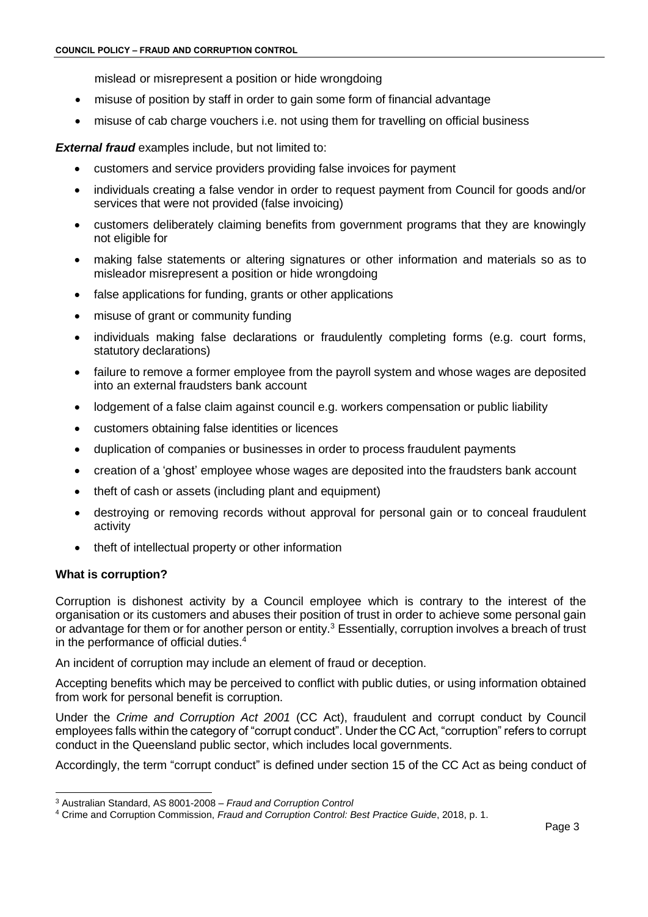mislead or misrepresent a position or hide wrongdoing

- misuse of position by staff in order to gain some form of financial advantage
- misuse of cab charge vouchers i.e. not using them for travelling on official business

**External fraud** examples include, but not limited to:

- customers and service providers providing false invoices for payment
- individuals creating a false vendor in order to request payment from Council for goods and/or services that were not provided (false invoicing)
- customers deliberately claiming benefits from government programs that they are knowingly not eligible for
- making false statements or altering signatures or other information and materials so as to misleador misrepresent a position or hide wrongdoing
- false applications for funding, grants or other applications
- misuse of grant or community funding
- individuals making false declarations or fraudulently completing forms (e.g. court forms, statutory declarations)
- failure to remove a former employee from the payroll system and whose wages are deposited into an external fraudsters bank account
- lodgement of a false claim against council e.g. workers compensation or public liability
- customers obtaining false identities or licences
- duplication of companies or businesses in order to process fraudulent payments
- creation of a 'ghost' employee whose wages are deposited into the fraudsters bank account
- theft of cash or assets (including plant and equipment)
- destroying or removing records without approval for personal gain or to conceal fraudulent activity
- theft of intellectual property or other information

### **What is corruption?**

Corruption is dishonest activity by a Council employee which is contrary to the interest of the organisation or its customers and abuses their position of trust in order to achieve some personal gain or advantage for them or for another person or entity.<sup>3</sup> Essentially, corruption involves a breach of trust in the performance of official duties.<sup>4</sup>

An incident of corruption may include an element of fraud or deception.

Accepting benefits which may be perceived to conflict with public duties, or using information obtained from work for personal benefit is corruption.

Under the *Crime and Corruption Act 2001* (CC Act), fraudulent and corrupt conduct by Council employees falls within the category of "corrupt conduct". Under the CC Act, "corruption" refers to corrupt conduct in the Queensland public sector, which includes local governments.

Accordingly, the term "corrupt conduct" is defined under section 15 of the CC Act as being conduct of

<sup>-</sup><sup>3</sup> Australian Standard, AS 8001-2008 – *Fraud and Corruption Control*

<sup>4</sup> Crime and Corruption Commission, *Fraud and Corruption Control: Best Practice Guide*, 2018, p. 1.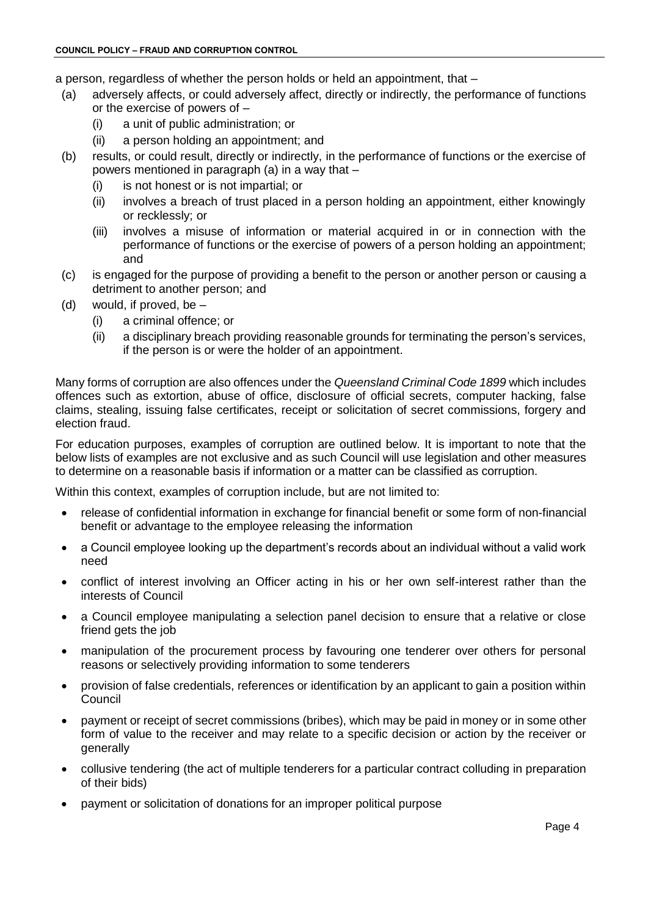a person, regardless of whether the person holds or held an appointment, that –

- (a) adversely affects, or could adversely affect, directly or indirectly, the performance of functions or the exercise of powers of –
	- (i) a unit of public administration; or
	- (ii) a person holding an appointment; and
- (b) results, or could result, directly or indirectly, in the performance of functions or the exercise of powers mentioned in paragraph (a) in a way that –
	- (i) is not honest or is not impartial; or
	- (ii) involves a breach of trust placed in a person holding an appointment, either knowingly or recklessly; or
	- (iii) involves a misuse of information or material acquired in or in connection with the performance of functions or the exercise of powers of a person holding an appointment; and
- (c) is engaged for the purpose of providing a benefit to the person or another person or causing a detriment to another person; and
- (d) would, if proved, be  $-$ 
	- (i) a criminal offence; or
	- (ii) a disciplinary breach providing reasonable grounds for terminating the person's services, if the person is or were the holder of an appointment.

Many forms of corruption are also offences under the *Queensland Criminal Code 1899* which includes offences such as extortion, abuse of office, disclosure of official secrets, computer hacking, false claims, stealing, issuing false certificates, receipt or solicitation of secret commissions, forgery and election fraud.

For education purposes, examples of corruption are outlined below. It is important to note that the below lists of examples are not exclusive and as such Council will use legislation and other measures to determine on a reasonable basis if information or a matter can be classified as corruption.

Within this context, examples of corruption include, but are not limited to:

- release of confidential information in exchange for financial benefit or some form of non-financial benefit or advantage to the employee releasing the information
- a Council employee looking up the department's records about an individual without a valid work need
- conflict of interest involving an Officer acting in his or her own self-interest rather than the interests of Council
- a Council employee manipulating a selection panel decision to ensure that a relative or close friend gets the job
- manipulation of the procurement process by favouring one tenderer over others for personal reasons or selectively providing information to some tenderers
- provision of false credentials, references or identification by an applicant to gain a position within **Council**
- payment or receipt of secret commissions (bribes), which may be paid in money or in some other form of value to the receiver and may relate to a specific decision or action by the receiver or generally
- collusive tendering (the act of multiple tenderers for a particular contract colluding in preparation of their bids)
- payment or solicitation of donations for an improper political purpose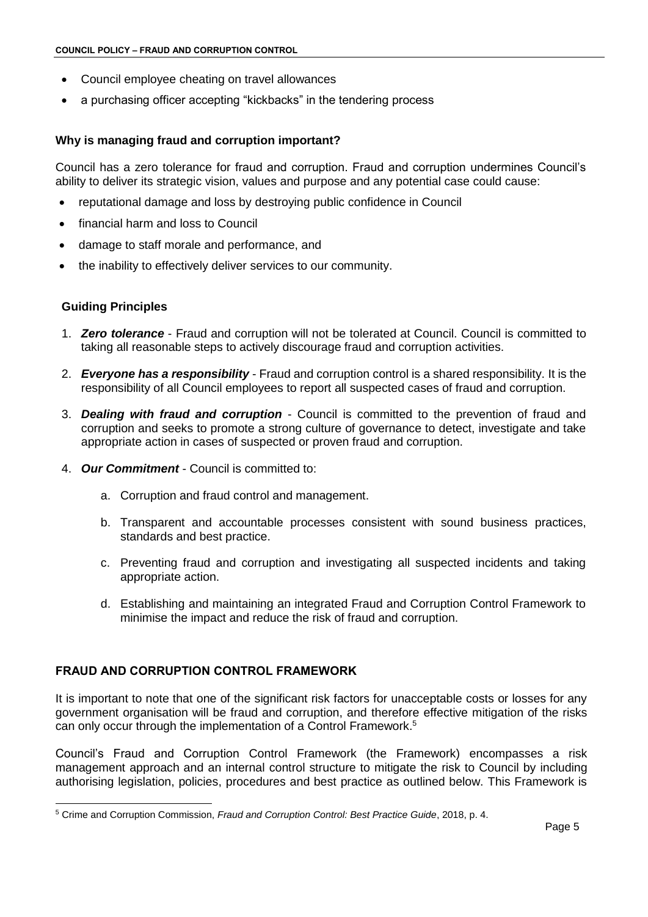- Council employee cheating on travel allowances
- a purchasing officer accepting "kickbacks" in the tendering process

## **Why is managing fraud and corruption important?**

Council has a zero tolerance for fraud and corruption. Fraud and corruption undermines Council's ability to deliver its strategic vision, values and purpose and any potential case could cause:

- reputational damage and loss by destroying public confidence in Council
- financial harm and loss to Council
- damage to staff morale and performance, and
- the inability to effectively deliver services to our community.

### **Guiding Principles**

-

- 1. *Zero tolerance* Fraud and corruption will not be tolerated at Council. Council is committed to taking all reasonable steps to actively discourage fraud and corruption activities.
- 2. *Everyone has a responsibility* Fraud and corruption control is a shared responsibility. It is the responsibility of all Council employees to report all suspected cases of fraud and corruption.
- 3. *Dealing with fraud and corruption* Council is committed to the prevention of fraud and corruption and seeks to promote a strong culture of governance to detect, investigate and take appropriate action in cases of suspected or proven fraud and corruption.
- 4. *Our Commitment* Council is committed to:
	- a. Corruption and fraud control and management.
	- b. Transparent and accountable processes consistent with sound business practices, standards and best practice.
	- c. Preventing fraud and corruption and investigating all suspected incidents and taking appropriate action.
	- d. Establishing and maintaining an integrated Fraud and Corruption Control Framework to minimise the impact and reduce the risk of fraud and corruption.

# **FRAUD AND CORRUPTION CONTROL FRAMEWORK**

It is important to note that one of the significant risk factors for unacceptable costs or losses for any government organisation will be fraud and corruption, and therefore effective mitigation of the risks can only occur through the implementation of a Control Framework.<sup>5</sup>

Council's Fraud and Corruption Control Framework (the Framework) encompasses a risk management approach and an internal control structure to mitigate the risk to Council by including authorising legislation, policies, procedures and best practice as outlined below. This Framework is

<sup>5</sup> Crime and Corruption Commission, *Fraud and Corruption Control: Best Practice Guide*, 2018, p. 4.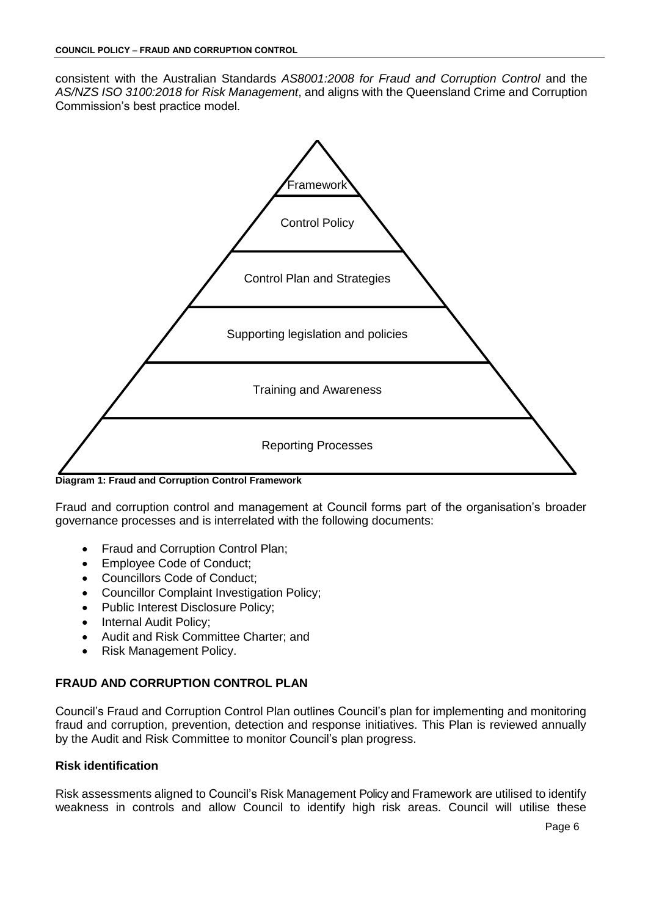consistent with the Australian Standards *AS8001:2008 for Fraud and Corruption Control* and the *AS/NZS ISO 3100:2018 for Risk Management*, and aligns with the Queensland Crime and Corruption Commission's best practice model.



**Diagram 1: Fraud and Corruption Control Framework**

Fraud and corruption control and management at Council forms part of the organisation's broader governance processes and is interrelated with the following documents:

- Fraud and Corruption Control Plan;
- Employee Code of Conduct;
- Councillors Code of Conduct;
- Councillor Complaint Investigation Policy;
- Public Interest Disclosure Policy;
- Internal Audit Policy;
- Audit and Risk Committee Charter; and
- Risk Management Policy.

# **FRAUD AND CORRUPTION CONTROL PLAN**

Council's Fraud and Corruption Control Plan outlines Council's plan for implementing and monitoring fraud and corruption, prevention, detection and response initiatives. This Plan is reviewed annually by the Audit and Risk Committee to monitor Council's plan progress.

# **Risk identification**

Risk assessments aligned to Council's Risk Management Policy and Framework are utilised to identify weakness in controls and allow Council to identify high risk areas. Council will utilise these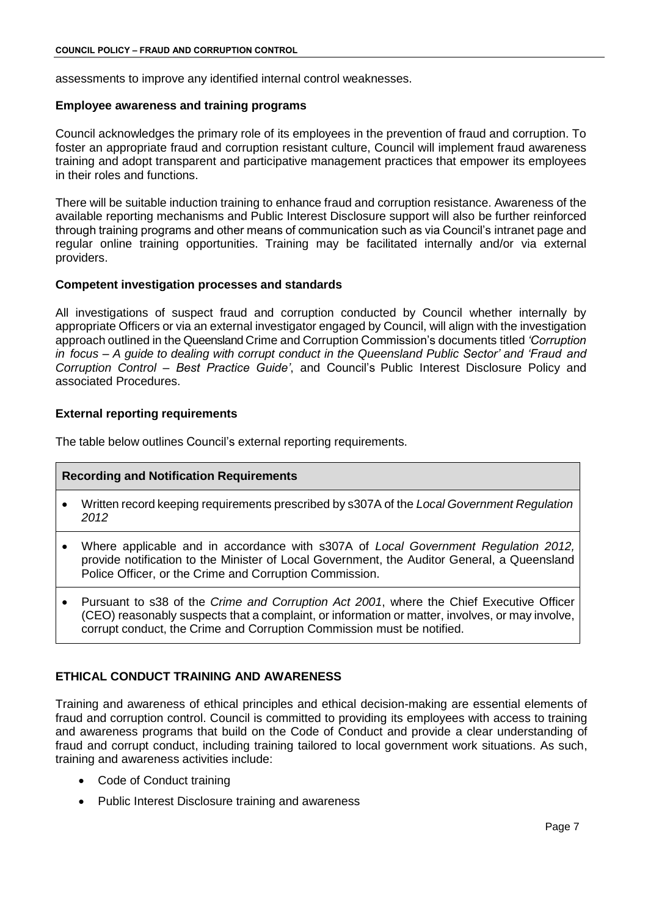assessments to improve any identified internal control weaknesses.

#### **Employee awareness and training programs**

Council acknowledges the primary role of its employees in the prevention of fraud and corruption. To foster an appropriate fraud and corruption resistant culture, Council will implement fraud awareness training and adopt transparent and participative management practices that empower its employees in their roles and functions.

There will be suitable induction training to enhance fraud and corruption resistance. Awareness of the available reporting mechanisms and Public Interest Disclosure support will also be further reinforced through training programs and other means of communication such as via Council's intranet page and regular online training opportunities. Training may be facilitated internally and/or via external providers.

### **Competent investigation processes and standards**

All investigations of suspect fraud and corruption conducted by Council whether internally by appropriate Officers or via an external investigator engaged by Council, will align with the investigation approach outlined in the Queensland Crime and Corruption Commission's documents titled *'Corruption in focus – A guide to dealing with corrupt conduct in the Queensland Public Sector' and 'Fraud and Corruption Control – Best Practice Guide'*, and Council's Public Interest Disclosure Policy and associated Procedures.

## **External reporting requirements**

The table below outlines Council's external reporting requirements.

# **Recording and Notification Requirements**

- Written record keeping requirements prescribed by s307A of the *Local Government Regulation 2012*
- Where applicable and in accordance with s307A of *Local Government Regulation 2012,* provide notification to the Minister of Local Government, the Auditor General, a Queensland Police Officer, or the Crime and Corruption Commission.
- Pursuant to s38 of the *Crime and Corruption Act 2001*, where the Chief Executive Officer (CEO) reasonably suspects that a complaint, or information or matter, involves, or may involve, corrupt conduct, the Crime and Corruption Commission must be notified.

# **ETHICAL CONDUCT TRAINING AND AWARENESS**

Training and awareness of ethical principles and ethical decision-making are essential elements of fraud and corruption control. Council is committed to providing its employees with access to training and awareness programs that build on the Code of Conduct and provide a clear understanding of fraud and corrupt conduct, including training tailored to local government work situations. As such, training and awareness activities include:

- Code of Conduct training
- Public Interest Disclosure training and awareness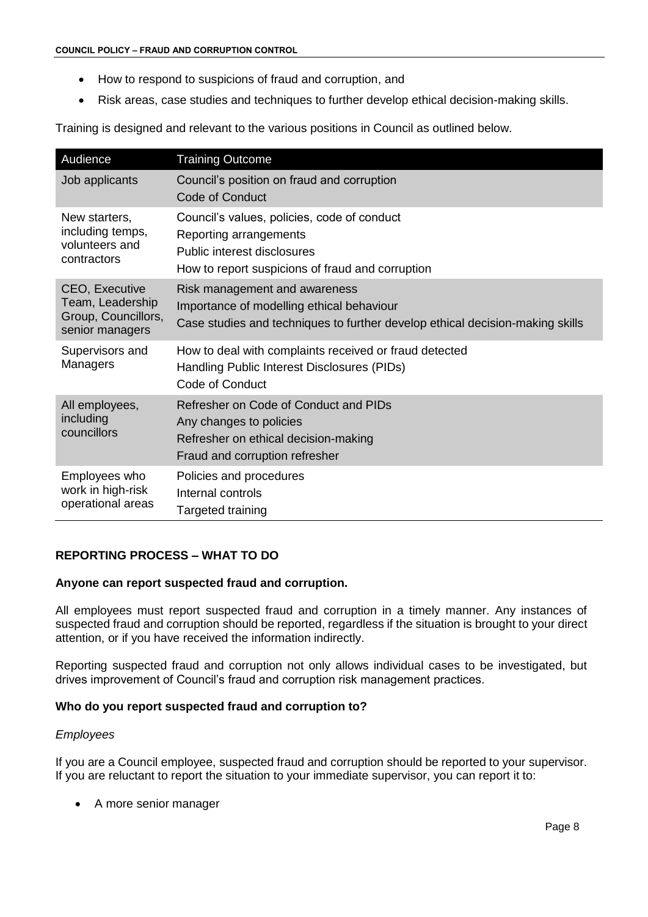- How to respond to suspicions of fraud and corruption, and
- Risk areas, case studies and techniques to further develop ethical decision-making skills.

Training is designed and relevant to the various positions in Council as outlined below.

| Audience                                                                     | <b>Training Outcome</b>                                                                                                                                     |
|------------------------------------------------------------------------------|-------------------------------------------------------------------------------------------------------------------------------------------------------------|
| Job applicants                                                               | Council's position on fraud and corruption<br><b>Code of Conduct</b>                                                                                        |
| New starters.<br>including temps,<br>volunteers and<br>contractors           | Council's values, policies, code of conduct<br>Reporting arrangements<br>Public interest disclosures<br>How to report suspicions of fraud and corruption    |
| CEO, Executive<br>Team, Leadership<br>Group, Councillors,<br>senior managers | Risk management and awareness<br>Importance of modelling ethical behaviour<br>Case studies and techniques to further develop ethical decision-making skills |
| Supervisors and<br>Managers                                                  | How to deal with complaints received or fraud detected<br>Handling Public Interest Disclosures (PIDs)<br>Code of Conduct                                    |
| All employees,<br>including<br>councillors                                   | Refresher on Code of Conduct and PIDs<br>Any changes to policies<br>Refresher on ethical decision-making<br>Fraud and corruption refresher                  |
| Employees who<br>work in high-risk<br>operational areas                      | Policies and procedures<br>Internal controls<br>Targeted training                                                                                           |

# **REPORTING PROCESS – WHAT TO DO**

### **Anyone can report suspected fraud and corruption.**

All employees must report suspected fraud and corruption in a timely manner. Any instances of suspected fraud and corruption should be reported, regardless if the situation is brought to your direct attention, or if you have received the information indirectly.

Reporting suspected fraud and corruption not only allows individual cases to be investigated, but drives improvement of Council's fraud and corruption risk management practices.

### **Who do you report suspected fraud and corruption to?**

### *Employees*

If you are a Council employee, suspected fraud and corruption should be reported to your supervisor. If you are reluctant to report the situation to your immediate supervisor, you can report it to:

A more senior manager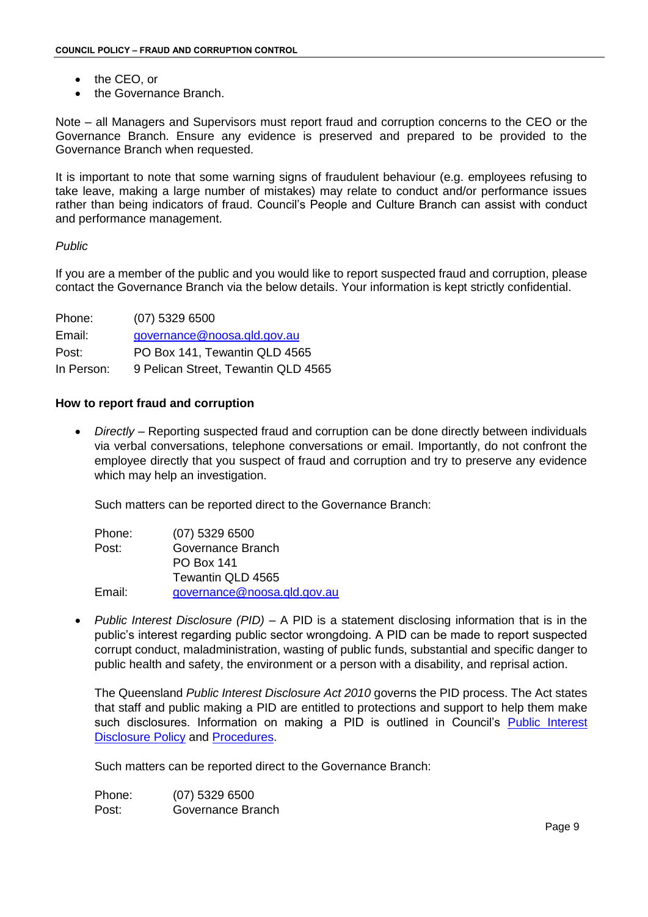- the CEO, or
- the Governance Branch.

Note – all Managers and Supervisors must report fraud and corruption concerns to the CEO or the Governance Branch. Ensure any evidence is preserved and prepared to be provided to the Governance Branch when requested.

It is important to note that some warning signs of fraudulent behaviour (e.g. employees refusing to take leave, making a large number of mistakes) may relate to conduct and/or performance issues rather than being indicators of fraud. Council's People and Culture Branch can assist with conduct and performance management.

## *Public*

If you are a member of the public and you would like to report suspected fraud and corruption, please contact the Governance Branch via the below details. Your information is kept strictly confidential.

| Phone:     | $(07)$ 5329 6500                    |
|------------|-------------------------------------|
| Email:     | governance@noosa.gld.gov.au         |
| Post:      | PO Box 141, Tewantin QLD 4565       |
| In Person: | 9 Pelican Street, Tewantin QLD 4565 |

### **How to report fraud and corruption**

 *Directly* – Reporting suspected fraud and corruption can be done directly between individuals via verbal conversations, telephone conversations or email. Importantly, do not confront the employee directly that you suspect of fraud and corruption and try to preserve any evidence which may help an investigation.

Such matters can be reported direct to the Governance Branch:

| $(07)$ 5329 6500            |
|-----------------------------|
| Governance Branch           |
| <b>PO Box 141</b>           |
| Tewantin QLD 4565           |
| governance@noosa.qld.gov.au |
|                             |

 *Public Interest Disclosure (PID)* – A PID is a statement disclosing information that is in the public's interest regarding public sector wrongdoing. A PID can be made to report suspected corrupt conduct, maladministration, wasting of public funds, substantial and specific danger to public health and safety, the environment or a person with a disability, and reprisal action.

The Queensland *Public Interest Disclosure Act 2010* governs the PID process. The Act states that staff and public making a PID are entitled to protections and support to help them make such disclosures. Information on making a PID is outlined in Council's [Public Interest](https://www.noosa.qld.gov.au/downloads/file/1103/public-interest-disclosure-policy)  [Disclosure Policy](https://www.noosa.qld.gov.au/downloads/file/1103/public-interest-disclosure-policy) and [Procedures.](https://www.noosa.qld.gov.au/downloads/file/979/public-interest-disclosure-procedure-2-0-for-ceo-signoff)

Such matters can be reported direct to the Governance Branch:

Phone: (07) 5329 6500 Post: Governance Branch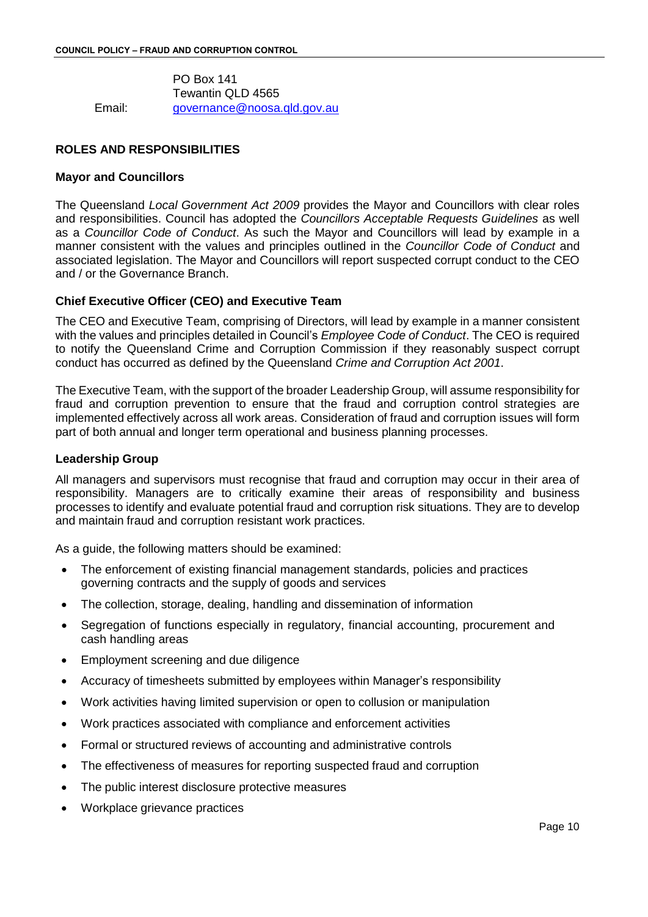PO Box 141 Tewantin QLD 4565 Email: [governance@noosa.qld.gov.au](mailto:governance@noosa.qld.gov.au)

## **ROLES AND RESPONSIBILITIES**

### **Mayor and Councillors**

The Queensland *Local Government Act 2009* provides the Mayor and Councillors with clear roles and responsibilities. Council has adopted the *Councillors Acceptable Requests Guidelines* as well as a *Councillor Code of Conduct*. As such the Mayor and Councillors will lead by example in a manner consistent with the values and principles outlined in the *Councillor Code of Conduct* and associated legislation. The Mayor and Councillors will report suspected corrupt conduct to the CEO and / or the Governance Branch.

## **Chief Executive Officer (CEO) and Executive Team**

The CEO and Executive Team, comprising of Directors, will lead by example in a manner consistent with the values and principles detailed in Council's *Employee Code of Conduct*. The CEO is required to notify the Queensland Crime and Corruption Commission if they reasonably suspect corrupt conduct has occurred as defined by the Queensland *Crime and Corruption Act 2001*.

The Executive Team, with the support of the broader Leadership Group, will assume responsibility for fraud and corruption prevention to ensure that the fraud and corruption control strategies are implemented effectively across all work areas. Consideration of fraud and corruption issues will form part of both annual and longer term operational and business planning processes.

### **Leadership Group**

All managers and supervisors must recognise that fraud and corruption may occur in their area of responsibility. Managers are to critically examine their areas of responsibility and business processes to identify and evaluate potential fraud and corruption risk situations. They are to develop and maintain fraud and corruption resistant work practices.

As a guide, the following matters should be examined:

- The enforcement of existing financial management standards, policies and practices governing contracts and the supply of goods and services
- The collection, storage, dealing, handling and dissemination of information
- Segregation of functions especially in regulatory, financial accounting, procurement and cash handling areas
- Employment screening and due diligence
- Accuracy of timesheets submitted by employees within Manager's responsibility
- Work activities having limited supervision or open to collusion or manipulation
- Work practices associated with compliance and enforcement activities
- Formal or structured reviews of accounting and administrative controls
- The effectiveness of measures for reporting suspected fraud and corruption
- The public interest disclosure protective measures
- Workplace grievance practices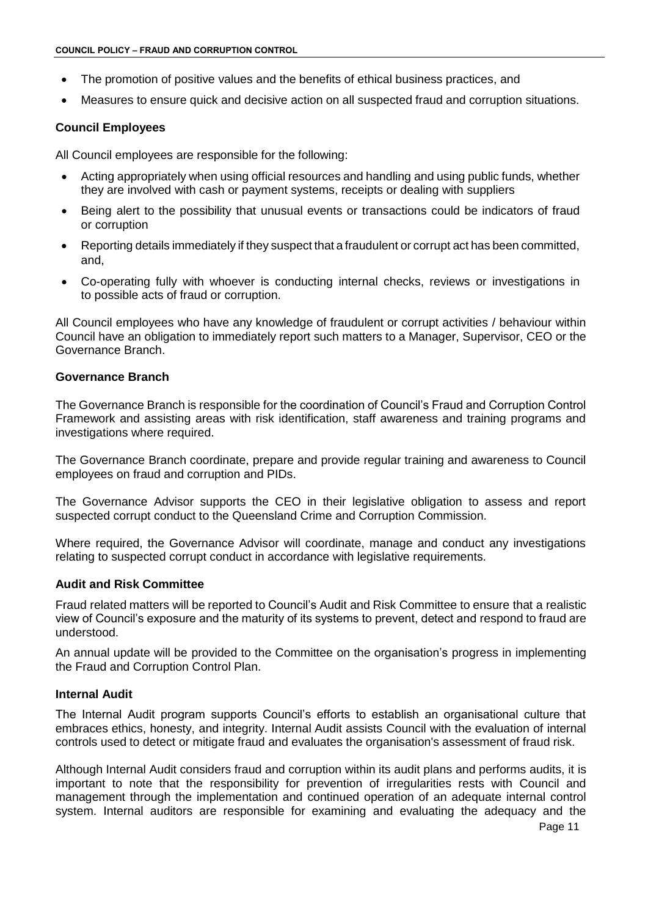- The promotion of positive values and the benefits of ethical business practices, and
- Measures to ensure quick and decisive action on all suspected fraud and corruption situations.

## **Council Employees**

All Council employees are responsible for the following:

- Acting appropriately when using official resources and handling and using public funds, whether they are involved with cash or payment systems, receipts or dealing with suppliers
- Being alert to the possibility that unusual events or transactions could be indicators of fraud or corruption
- Reporting details immediately if they suspect that a fraudulent or corrupt act has been committed, and,
- Co-operating fully with whoever is conducting internal checks, reviews or investigations in to possible acts of fraud or corruption.

All Council employees who have any knowledge of fraudulent or corrupt activities / behaviour within Council have an obligation to immediately report such matters to a Manager, Supervisor, CEO or the Governance Branch.

### **Governance Branch**

The Governance Branch is responsible for the coordination of Council's Fraud and Corruption Control Framework and assisting areas with risk identification, staff awareness and training programs and investigations where required.

The Governance Branch coordinate, prepare and provide regular training and awareness to Council employees on fraud and corruption and PIDs.

The Governance Advisor supports the CEO in their legislative obligation to assess and report suspected corrupt conduct to the Queensland Crime and Corruption Commission.

Where required, the Governance Advisor will coordinate, manage and conduct any investigations relating to suspected corrupt conduct in accordance with legislative requirements.

# **Audit and Risk Committee**

Fraud related matters will be reported to Council's Audit and Risk Committee to ensure that a realistic view of Council's exposure and the maturity of its systems to prevent, detect and respond to fraud are understood.

An annual update will be provided to the Committee on the organisation's progress in implementing the Fraud and Corruption Control Plan.

## **Internal Audit**

The Internal Audit program supports Council's efforts to establish an organisational culture that embraces ethics, honesty, and integrity. Internal Audit assists Council with the evaluation of internal controls used to detect or mitigate fraud and evaluates the organisation's assessment of fraud risk.

Although Internal Audit considers fraud and corruption within its audit plans and performs audits, it is important to note that the responsibility for prevention of irregularities rests with Council and management through the implementation and continued operation of an adequate internal control system. Internal auditors are responsible for examining and evaluating the adequacy and the